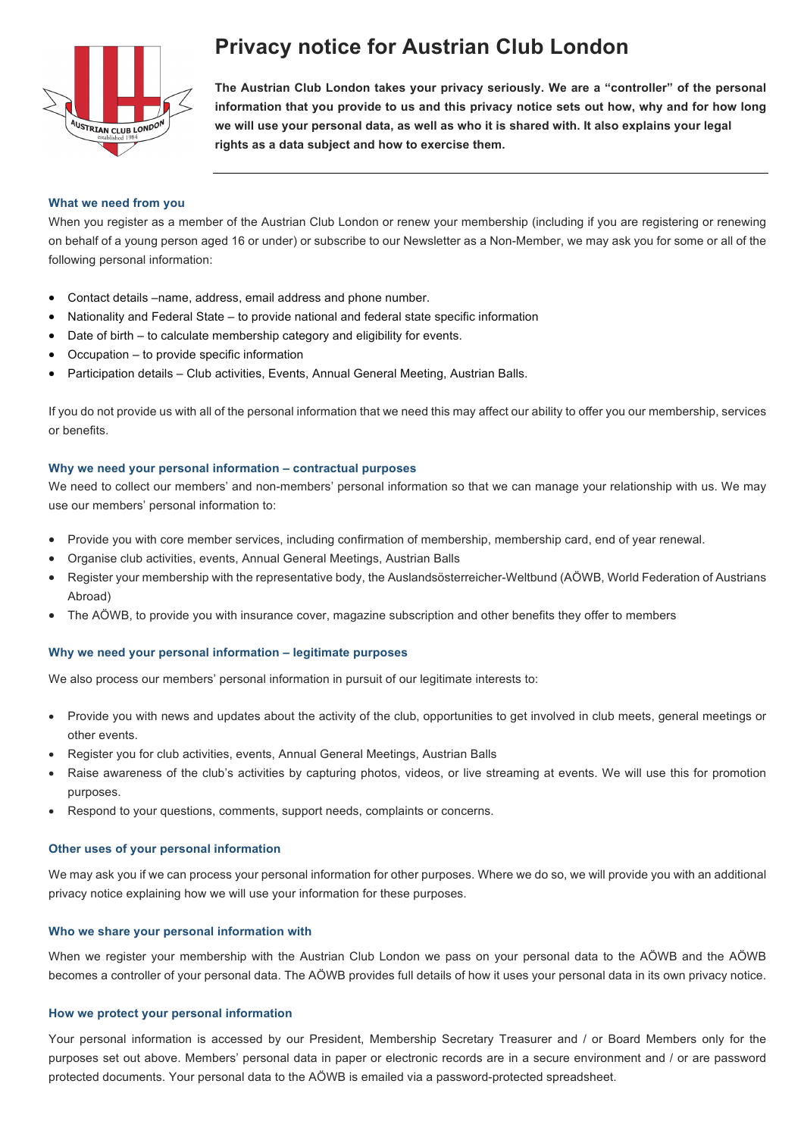

# **Privacy notice for Austrian Club London**

**The Austrian Club London takes your privacy seriously. We are a "controller" of the personal information that you provide to us and this privacy notice sets out how, why and for how long we will use your personal data, as well as who it is shared with. It also explains your legal rights as a data subject and how to exercise them.**

## **What we need from you**

When you register as a member of the Austrian Club London or renew your membership (including if you are registering or renewing on behalf of a young person aged 16 or under) or subscribe to our Newsletter as a Non-Member, we may ask you for some or all of the following personal information:

- Contact details –name, address, email address and phone number.
- Nationality and Federal State to provide national and federal state specific information
- Date of birth to calculate membership category and eligibility for events.
- Occupation to provide specific information
- Participation details Club activities, Events, Annual General Meeting, Austrian Balls.

If you do not provide us with all of the personal information that we need this may affect our ability to offer you our membership, services or benefits.

#### **Why we need your personal information – contractual purposes**

We need to collect our members' and non-members' personal information so that we can manage your relationship with us. We may use our members' personal information to:

- Provide you with core member services, including confirmation of membership, membership card, end of year renewal.
- Organise club activities, events, Annual General Meetings, Austrian Balls
- Register your membership with the representative body, the Auslandsösterreicher-Weltbund (AÖWB, World Federation of Austrians Abroad)
- The AÖWB, to provide you with insurance cover, magazine subscription and other benefits they offer to members

### **Why we need your personal information – legitimate purposes**

We also process our members' personal information in pursuit of our legitimate interests to:

- Provide you with news and updates about the activity of the club, opportunities to get involved in club meets, general meetings or other events.
- Register you for club activities, events, Annual General Meetings, Austrian Balls
- Raise awareness of the club's activities by capturing photos, videos, or live streaming at events. We will use this for promotion purposes.
- Respond to your questions, comments, support needs, complaints or concerns.

#### **Other uses of your personal information**

We may ask you if we can process your personal information for other purposes. Where we do so, we will provide you with an additional privacy notice explaining how we will use your information for these purposes.

#### **Who we share your personal information with**

When we register your membership with the Austrian Club London we pass on your personal data to the AÖWB and the AÖWB becomes a controller of your personal data. The AÖWB provides full details of how it uses your personal data in its own privacy notice.

# **How we protect your personal information**

Your personal information is accessed by our President, Membership Secretary Treasurer and / or Board Members only for the purposes set out above. Members' personal data in paper or electronic records are in a secure environment and / or are password protected documents. Your personal data to the AÖWB is emailed via a password-protected spreadsheet.